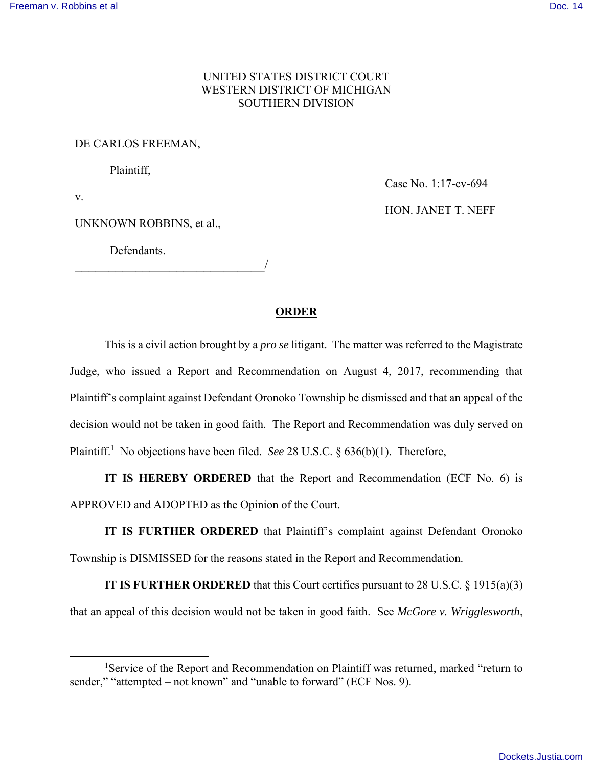## UNITED STATES DISTRICT COURT WESTERN DISTRICT OF MICHIGAN SOUTHERN DIVISION

## DE CARLOS FREEMAN,

Plaintiff,

v.

-

UNKNOWN ROBBINS, et al.,

\_\_\_\_\_\_\_\_\_\_\_\_\_\_\_\_\_\_\_\_\_\_\_\_\_\_\_\_/

Defendants.

Case No. 1:17-cv-694 HON. JANET T. NEFF

## **ORDER**

This is a civil action brought by a *pro se* litigant. The matter was referred to the Magistrate Judge, who issued a Report and Recommendation on August 4, 2017, recommending that Plaintiff's complaint against Defendant Oronoko Township be dismissed and that an appeal of the decision would not be taken in good faith. The Report and Recommendation was duly served on Plaintiff.<sup>1</sup> No objections have been filed. *See* 28 U.S.C. § 636(b)(1). Therefore,

**IT IS HEREBY ORDERED** that the Report and Recommendation (ECF No. 6) is APPROVED and ADOPTED as the Opinion of the Court.

**IT IS FURTHER ORDERED** that Plaintiff's complaint against Defendant Oronoko Township is DISMISSED for the reasons stated in the Report and Recommendation.

**IT IS FURTHER ORDERED** that this Court certifies pursuant to 28 U.S.C. § 1915(a)(3) that an appeal of this decision would not be taken in good faith. See *McGore v. Wrigglesworth*,

<sup>&</sup>lt;sup>1</sup>Service of the Report and Recommendation on Plaintiff was returned, marked "return to sender," "attempted – not known" and "unable to forward" (ECF Nos. 9).